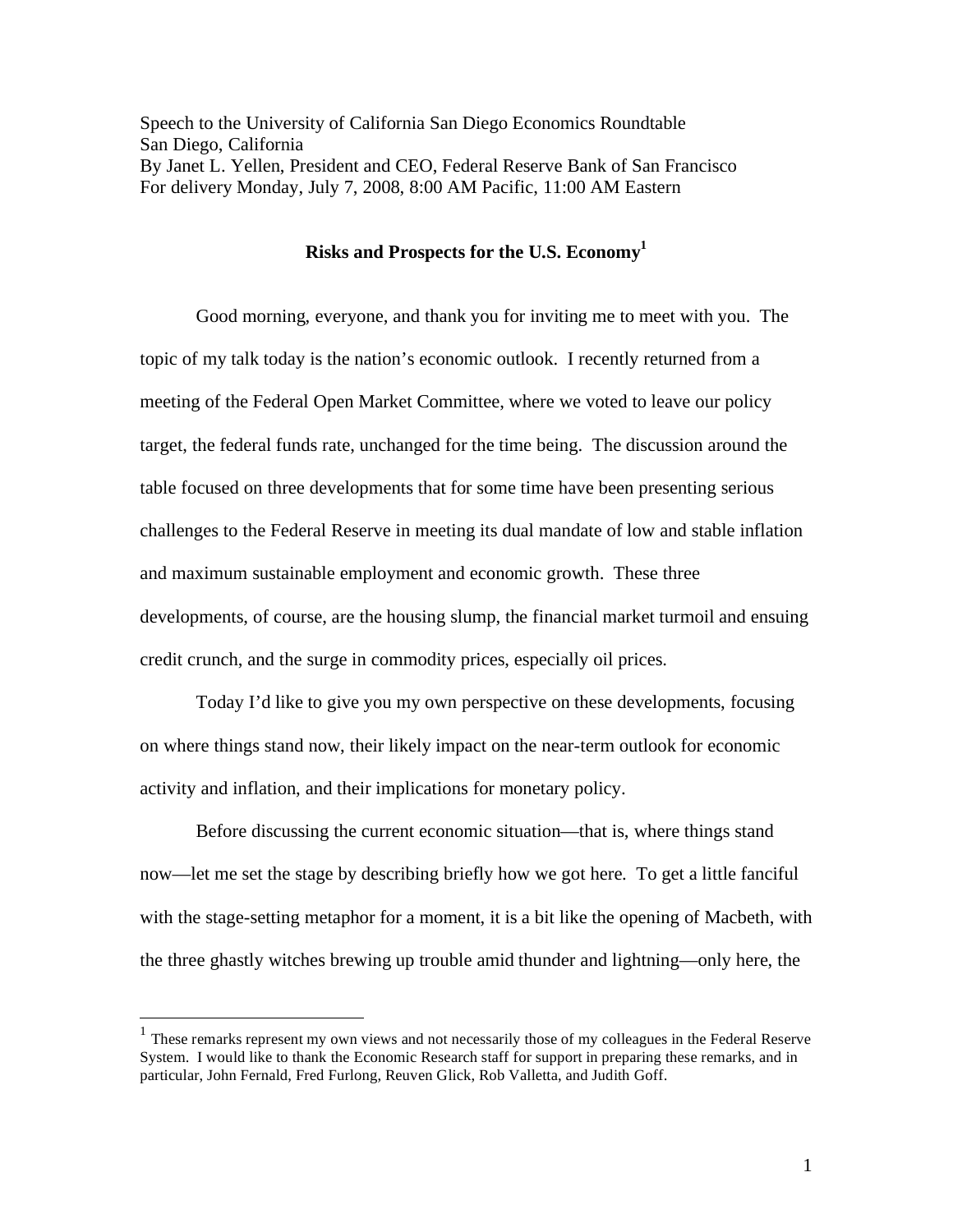Speech to the University of California San Diego Economics Roundtable San Diego, California By Janet L. Yellen, President and CEO, Federal Reserve Bank of San Francisco For delivery Monday, July 7, 2008, 8:00 AM Pacific, 11:00 AM Eastern

# **Risks and Prospects for the U.S. Economy1**

 Good morning, everyone, and thank you for inviting me to meet with you. The topic of my talk today is the nation's economic outlook. I recently returned from a meeting of the Federal Open Market Committee, where we voted to leave our policy target, the federal funds rate, unchanged for the time being. The discussion around the table focused on three developments that for some time have been presenting serious challenges to the Federal Reserve in meeting its dual mandate of low and stable inflation and maximum sustainable employment and economic growth. These three developments, of course, are the housing slump, the financial market turmoil and ensuing credit crunch, and the surge in commodity prices, especially oil prices.

Today I'd like to give you my own perspective on these developments, focusing on where things stand now, their likely impact on the near-term outlook for economic activity and inflation, and their implications for monetary policy.

Before discussing the current economic situation—that is, where things stand now—let me set the stage by describing briefly how we got here. To get a little fanciful with the stage-setting metaphor for a moment, it is a bit like the opening of Macbeth, with the three ghastly witches brewing up trouble amid thunder and lightning—only here, the

 $\overline{a}$ 

 $<sup>1</sup>$  These remarks represent my own views and not necessarily those of my colleagues in the Federal Reserve</sup> System. I would like to thank the Economic Research staff for support in preparing these remarks, and in particular, John Fernald, Fred Furlong, Reuven Glick, Rob Valletta, and Judith Goff.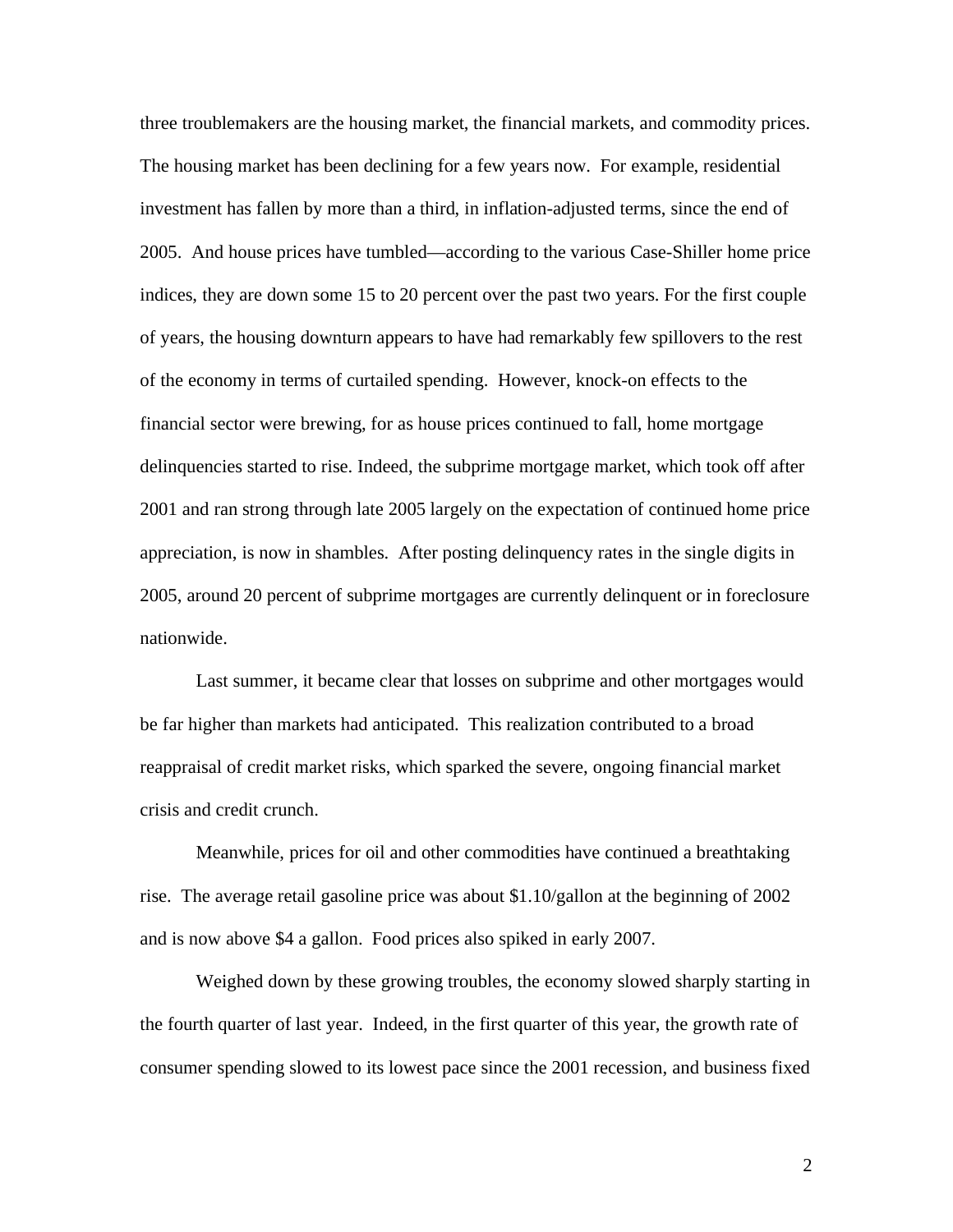three troublemakers are the housing market, the financial markets, and commodity prices. The housing market has been declining for a few years now. For example, residential investment has fallen by more than a third, in inflation-adjusted terms, since the end of 2005. And house prices have tumbled—according to the various Case-Shiller home price indices, they are down some 15 to 20 percent over the past two years. For the first couple of years, the housing downturn appears to have had remarkably few spillovers to the rest of the economy in terms of curtailed spending. However, knock-on effects to the financial sector were brewing, for as house prices continued to fall, home mortgage delinquencies started to rise. Indeed, the subprime mortgage market, which took off after 2001 and ran strong through late 2005 largely on the expectation of continued home price appreciation, is now in shambles. After posting delinquency rates in the single digits in 2005, around 20 percent of subprime mortgages are currently delinquent or in foreclosure nationwide.

Last summer, it became clear that losses on subprime and other mortgages would be far higher than markets had anticipated. This realization contributed to a broad reappraisal of credit market risks, which sparked the severe, ongoing financial market crisis and credit crunch.

Meanwhile, prices for oil and other commodities have continued a breathtaking rise. The average retail gasoline price was about \$1.10/gallon at the beginning of 2002 and is now above \$4 a gallon. Food prices also spiked in early 2007.

 Weighed down by these growing troubles, the economy slowed sharply starting in the fourth quarter of last year. Indeed, in the first quarter of this year, the growth rate of consumer spending slowed to its lowest pace since the 2001 recession, and business fixed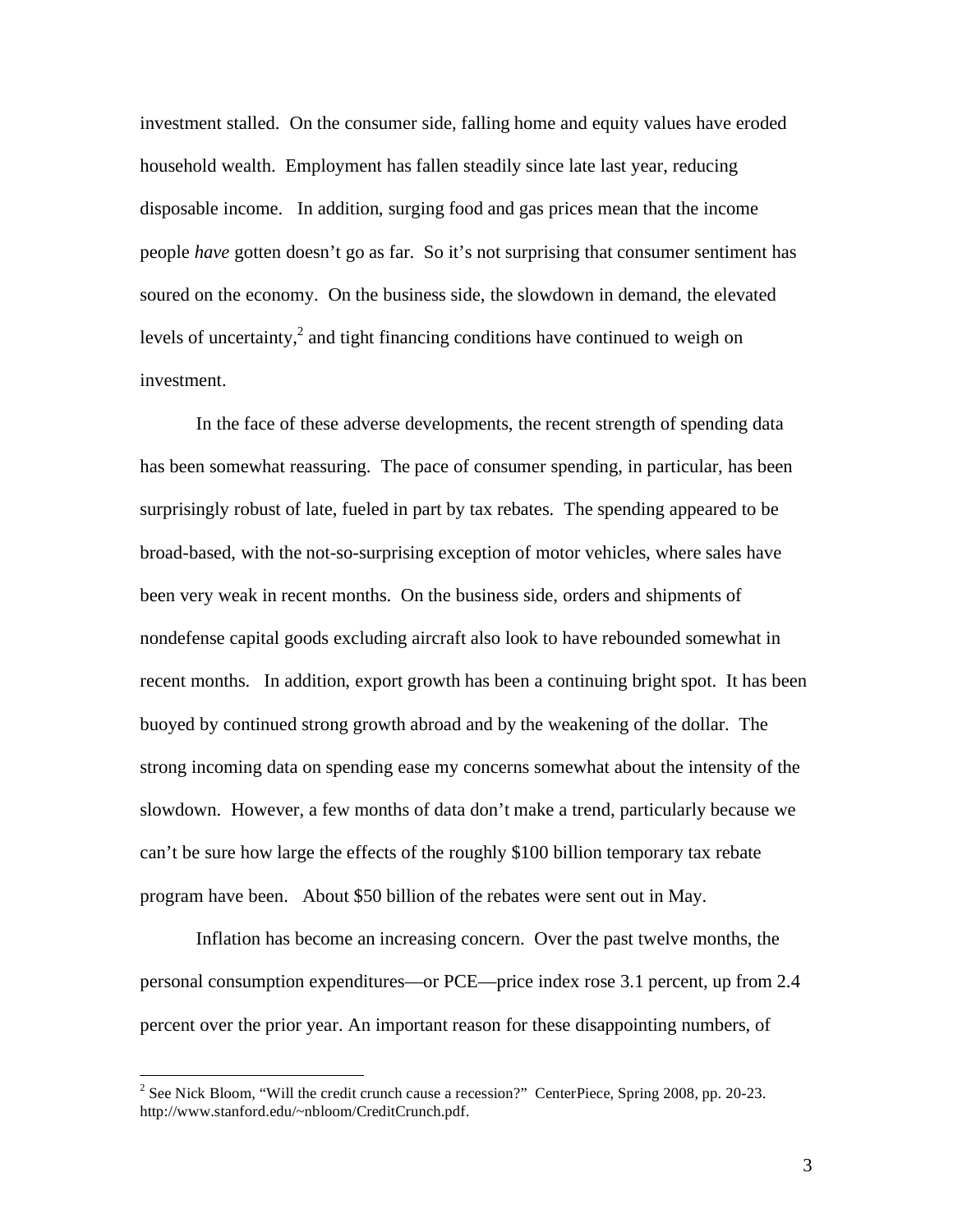investment stalled. On the consumer side, falling home and equity values have eroded household wealth. Employment has fallen steadily since late last year, reducing disposable income. In addition, surging food and gas prices mean that the income people *have* gotten doesn't go as far. So it's not surprising that consumer sentiment has soured on the economy. On the business side, the slowdown in demand, the elevated levels of uncertainty, $2$  and tight financing conditions have continued to weigh on investment.

In the face of these adverse developments, the recent strength of spending data has been somewhat reassuring. The pace of consumer spending, in particular, has been surprisingly robust of late, fueled in part by tax rebates. The spending appeared to be broad-based, with the not-so-surprising exception of motor vehicles, where sales have been very weak in recent months. On the business side, orders and shipments of nondefense capital goods excluding aircraft also look to have rebounded somewhat in recent months. In addition, export growth has been a continuing bright spot. It has been buoyed by continued strong growth abroad and by the weakening of the dollar. The strong incoming data on spending ease my concerns somewhat about the intensity of the slowdown. However, a few months of data don't make a trend, particularly because we can't be sure how large the effects of the roughly \$100 billion temporary tax rebate program have been. About \$50 billion of the rebates were sent out in May.

 Inflation has become an increasing concern. Over the past twelve months, the personal consumption expenditures—or PCE—price index rose 3.1 percent, up from 2.4 percent over the prior year. An important reason for these disappointing numbers, of

<sup>&</sup>lt;sup>2</sup> See Nick Bloom, "Will the credit crunch cause a recession?" CenterPiece, Spring 2008, pp. 20-23. http://www.stanford.edu/~nbloom/CreditCrunch.pdf.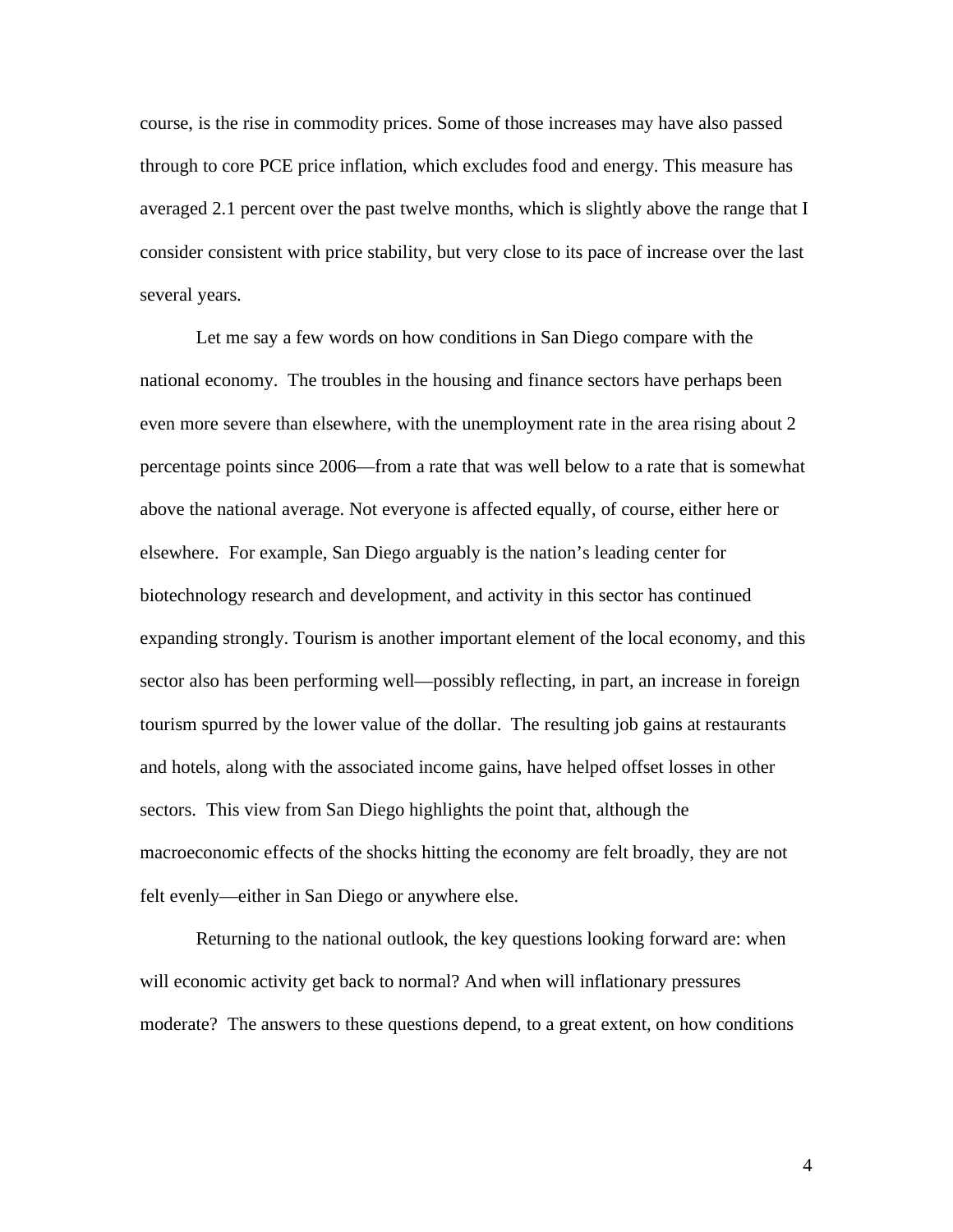course, is the rise in commodity prices. Some of those increases may have also passed through to core PCE price inflation, which excludes food and energy. This measure has averaged 2.1 percent over the past twelve months, which is slightly above the range that I consider consistent with price stability, but very close to its pace of increase over the last several years.

 Let me say a few words on how conditions in San Diego compare with the national economy. The troubles in the housing and finance sectors have perhaps been even more severe than elsewhere, with the unemployment rate in the area rising about 2 percentage points since 2006—from a rate that was well below to a rate that is somewhat above the national average. Not everyone is affected equally, of course, either here or elsewhere. For example, San Diego arguably is the nation's leading center for biotechnology research and development, and activity in this sector has continued expanding strongly. Tourism is another important element of the local economy, and this sector also has been performing well—possibly reflecting, in part, an increase in foreign tourism spurred by the lower value of the dollar. The resulting job gains at restaurants and hotels, along with the associated income gains, have helped offset losses in other sectors. This view from San Diego highlights the point that, although the macroeconomic effects of the shocks hitting the economy are felt broadly, they are not felt evenly—either in San Diego or anywhere else.

Returning to the national outlook, the key questions looking forward are: when will economic activity get back to normal? And when will inflationary pressures moderate? The answers to these questions depend, to a great extent, on how conditions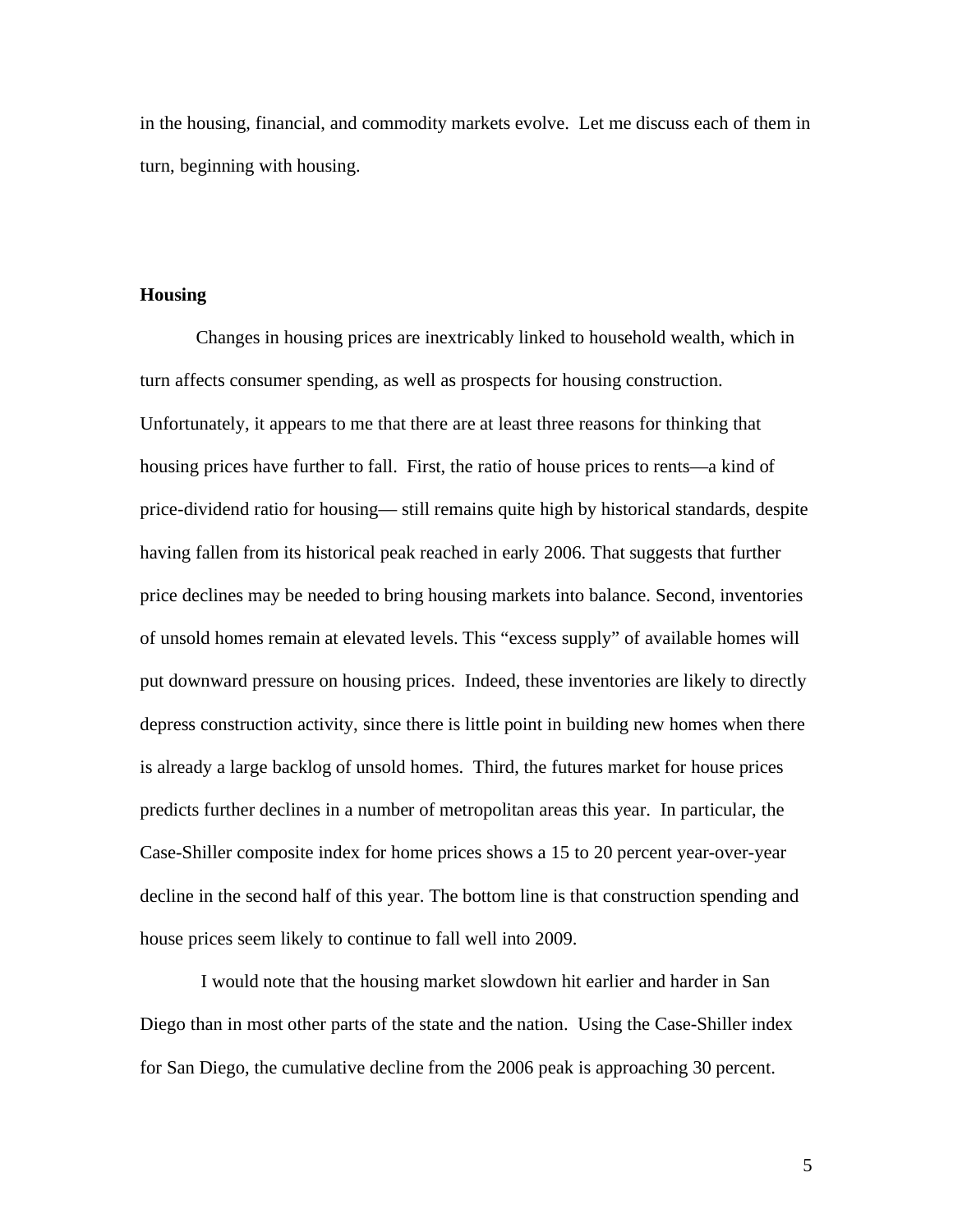in the housing, financial, and commodity markets evolve. Let me discuss each of them in turn, beginning with housing.

#### **Housing**

Changes in housing prices are inextricably linked to household wealth, which in turn affects consumer spending, as well as prospects for housing construction. Unfortunately, it appears to me that there are at least three reasons for thinking that housing prices have further to fall. First, the ratio of house prices to rents—a kind of price-dividend ratio for housing— still remains quite high by historical standards, despite having fallen from its historical peak reached in early 2006. That suggests that further price declines may be needed to bring housing markets into balance. Second, inventories of unsold homes remain at elevated levels. This "excess supply" of available homes will put downward pressure on housing prices. Indeed, these inventories are likely to directly depress construction activity, since there is little point in building new homes when there is already a large backlog of unsold homes. Third, the futures market for house prices predicts further declines in a number of metropolitan areas this year. In particular, the Case-Shiller composite index for home prices shows a 15 to 20 percent year-over-year decline in the second half of this year. The bottom line is that construction spending and house prices seem likely to continue to fall well into 2009.

 I would note that the housing market slowdown hit earlier and harder in San Diego than in most other parts of the state and the nation. Using the Case-Shiller index for San Diego, the cumulative decline from the 2006 peak is approaching 30 percent.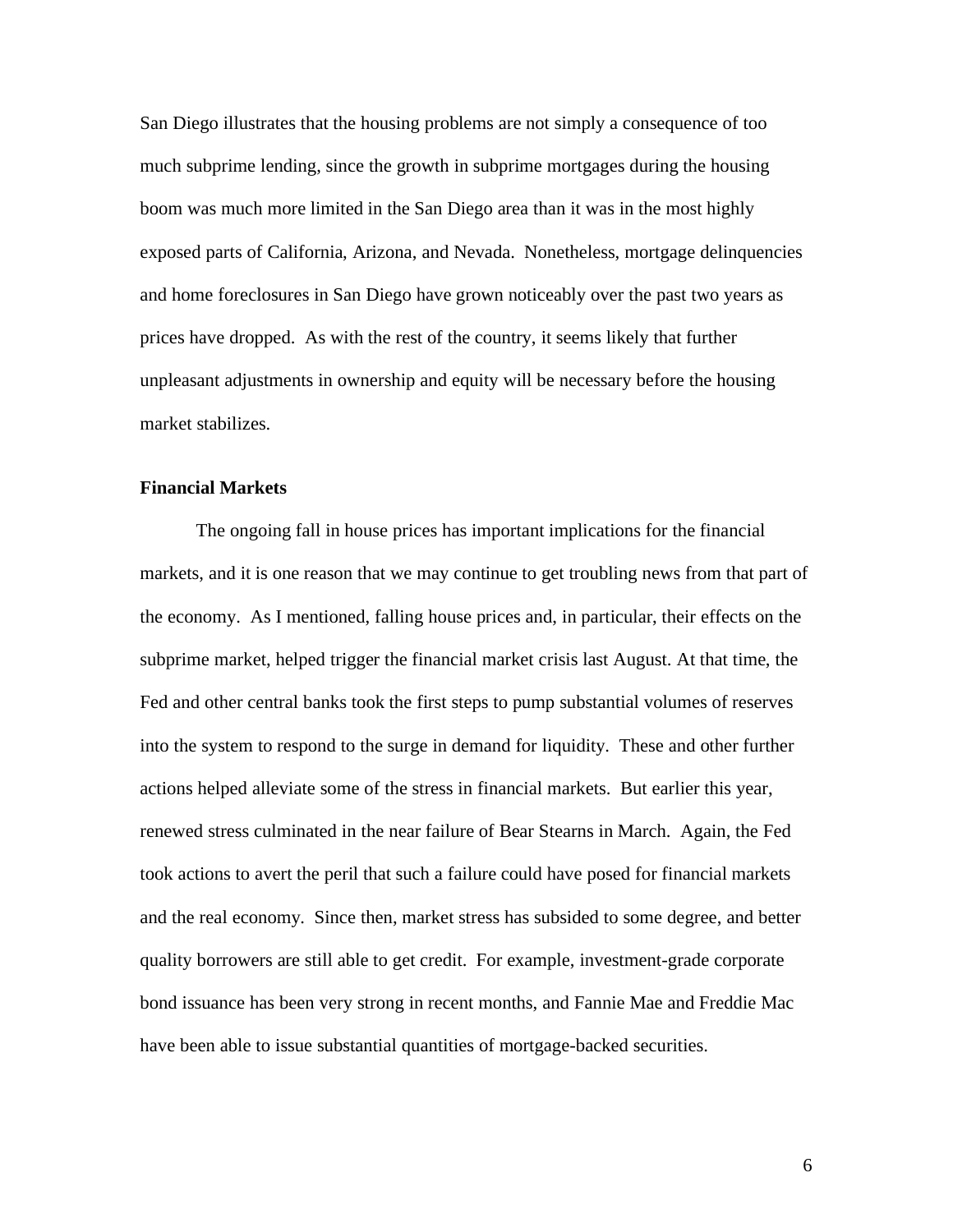San Diego illustrates that the housing problems are not simply a consequence of too much subprime lending, since the growth in subprime mortgages during the housing boom was much more limited in the San Diego area than it was in the most highly exposed parts of California, Arizona, and Nevada. Nonetheless, mortgage delinquencies and home foreclosures in San Diego have grown noticeably over the past two years as prices have dropped. As with the rest of the country, it seems likely that further unpleasant adjustments in ownership and equity will be necessary before the housing market stabilizes.

# **Financial Markets**

The ongoing fall in house prices has important implications for the financial markets, and it is one reason that we may continue to get troubling news from that part of the economy. As I mentioned, falling house prices and, in particular, their effects on the subprime market, helped trigger the financial market crisis last August. At that time, the Fed and other central banks took the first steps to pump substantial volumes of reserves into the system to respond to the surge in demand for liquidity. These and other further actions helped alleviate some of the stress in financial markets. But earlier this year, renewed stress culminated in the near failure of Bear Stearns in March. Again, the Fed took actions to avert the peril that such a failure could have posed for financial markets and the real economy. Since then, market stress has subsided to some degree, and better quality borrowers are still able to get credit. For example, investment-grade corporate bond issuance has been very strong in recent months, and Fannie Mae and Freddie Mac have been able to issue substantial quantities of mortgage-backed securities.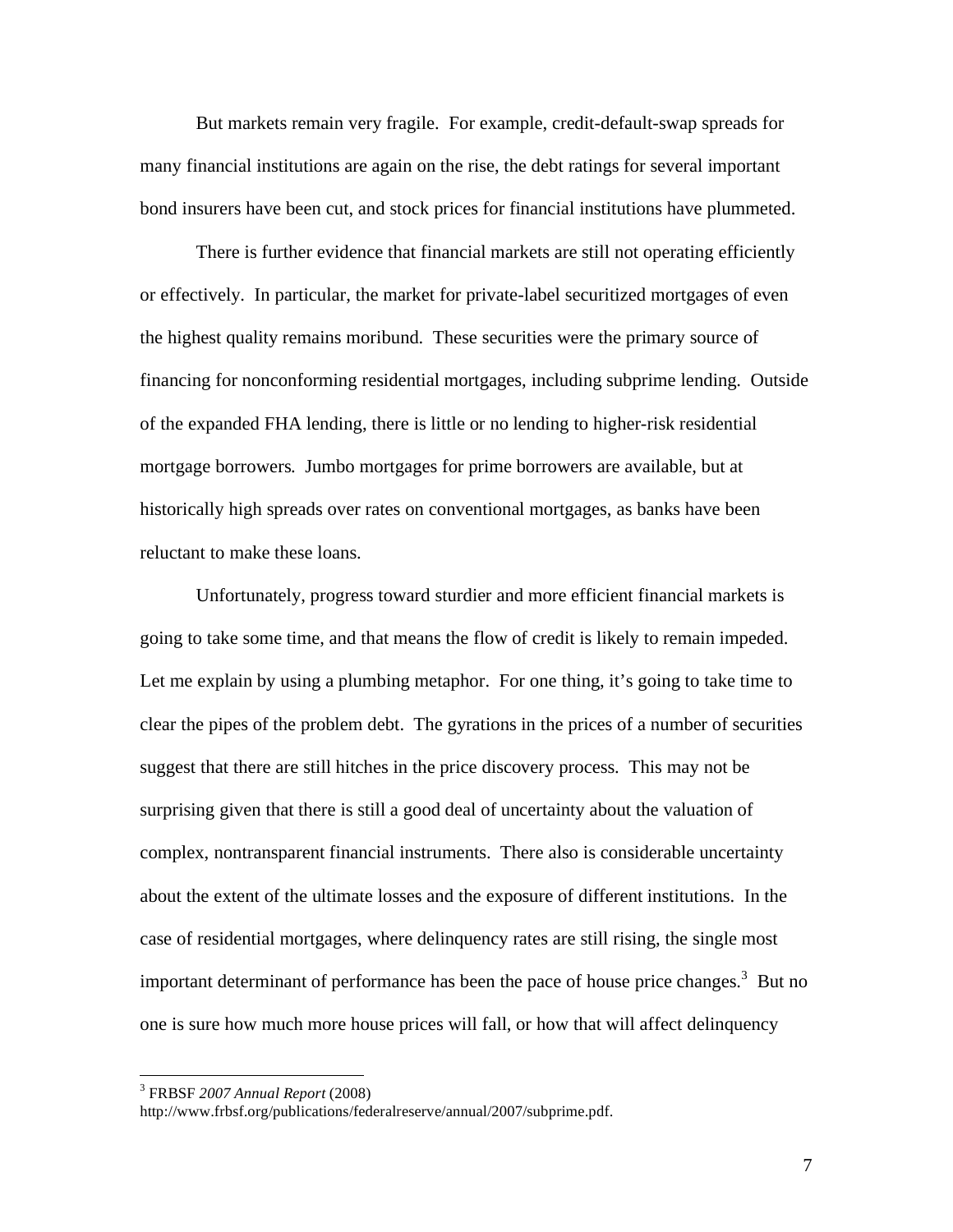But markets remain very fragile. For example, credit-default-swap spreads for many financial institutions are again on the rise, the debt ratings for several important bond insurers have been cut, and stock prices for financial institutions have plummeted.

There is further evidence that financial markets are still not operating efficiently or effectively. In particular, the market for private-label securitized mortgages of even the highest quality remains moribund. These securities were the primary source of financing for nonconforming residential mortgages, including subprime lending. Outside of the expanded FHA lending, there is little or no lending to higher-risk residential mortgage borrowers. Jumbo mortgages for prime borrowers are available, but at historically high spreads over rates on conventional mortgages, as banks have been reluctant to make these loans.

Unfortunately, progress toward sturdier and more efficient financial markets is going to take some time, and that means the flow of credit is likely to remain impeded. Let me explain by using a plumbing metaphor. For one thing, it's going to take time to clear the pipes of the problem debt. The gyrations in the prices of a number of securities suggest that there are still hitches in the price discovery process. This may not be surprising given that there is still a good deal of uncertainty about the valuation of complex, nontransparent financial instruments. There also is considerable uncertainty about the extent of the ultimate losses and the exposure of different institutions. In the case of residential mortgages, where delinquency rates are still rising, the single most important determinant of performance has been the pace of house price changes.<sup>3</sup> But no one is sure how much more house prices will fall, or how that will affect delinquency

 3 FRBSF *2007 Annual Report* (2008)

http://www.frbsf.org/publications/federalreserve/annual/2007/subprime.pdf.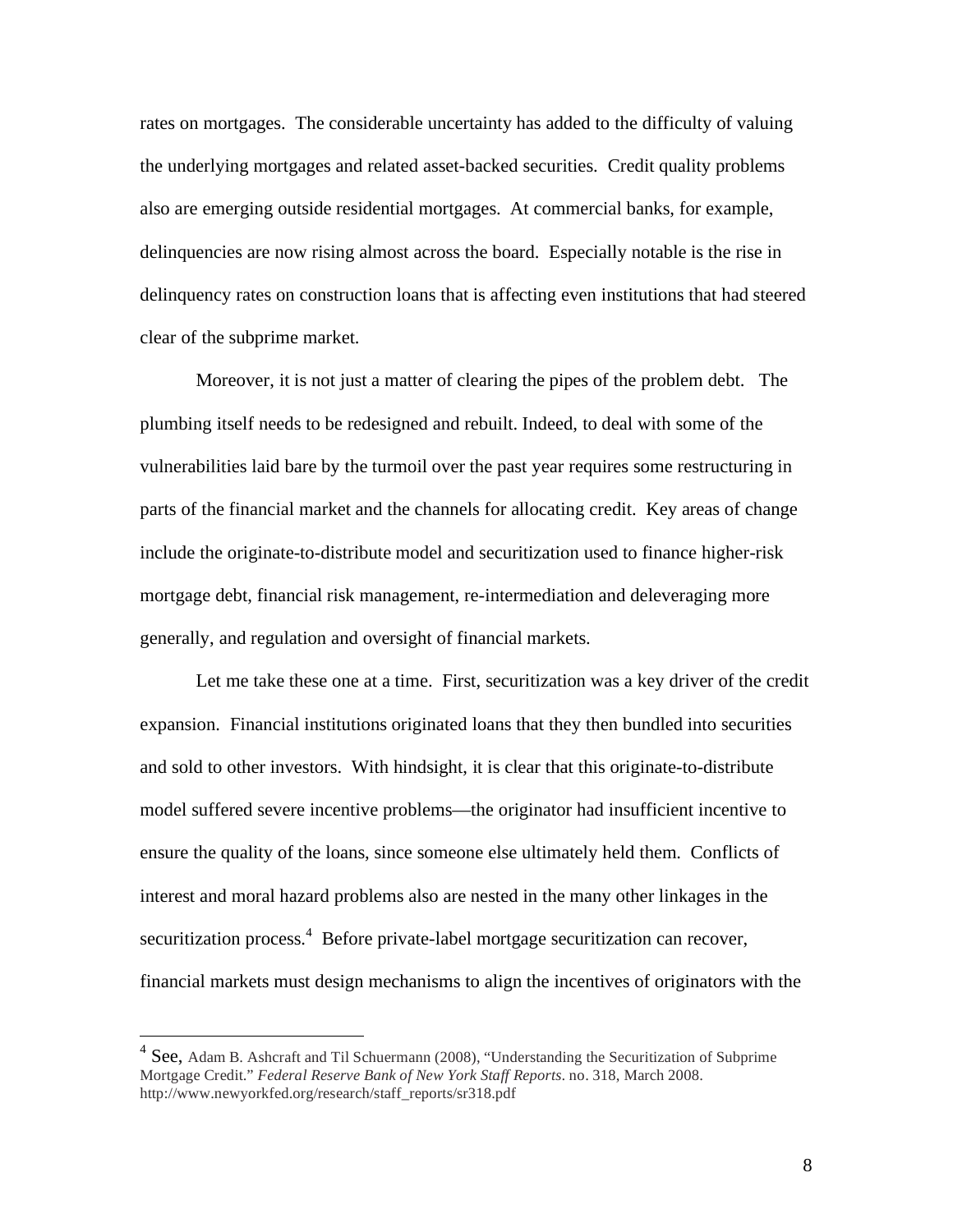rates on mortgages. The considerable uncertainty has added to the difficulty of valuing the underlying mortgages and related asset-backed securities. Credit quality problems also are emerging outside residential mortgages. At commercial banks, for example, delinquencies are now rising almost across the board. Especially notable is the rise in delinquency rates on construction loans that is affecting even institutions that had steered clear of the subprime market.

 Moreover, it is not just a matter of clearing the pipes of the problem debt. The plumbing itself needs to be redesigned and rebuilt. Indeed, to deal with some of the vulnerabilities laid bare by the turmoil over the past year requires some restructuring in parts of the financial market and the channels for allocating credit. Key areas of change include the originate-to-distribute model and securitization used to finance higher-risk mortgage debt, financial risk management, re-intermediation and deleveraging more generally, and regulation and oversight of financial markets.

 Let me take these one at a time. First, securitization was a key driver of the credit expansion. Financial institutions originated loans that they then bundled into securities and sold to other investors. With hindsight, it is clear that this originate-to-distribute model suffered severe incentive problems—the originator had insufficient incentive to ensure the quality of the loans, since someone else ultimately held them. Conflicts of interest and moral hazard problems also are nested in the many other linkages in the securitization process.<sup>4</sup> Before private-label mortgage securitization can recover, financial markets must design mechanisms to align the incentives of originators with the

 $\overline{a}$ 

<sup>&</sup>lt;sup>4</sup> See, Adam B. Ashcraft and Til Schuermann (2008), "Understanding the Securitization of Subprime Mortgage Credit." *Federal Reserve Bank of New York Staff Reports*. no. 318, March 2008. http://www.newyorkfed.org/research/staff\_reports/sr318.pdf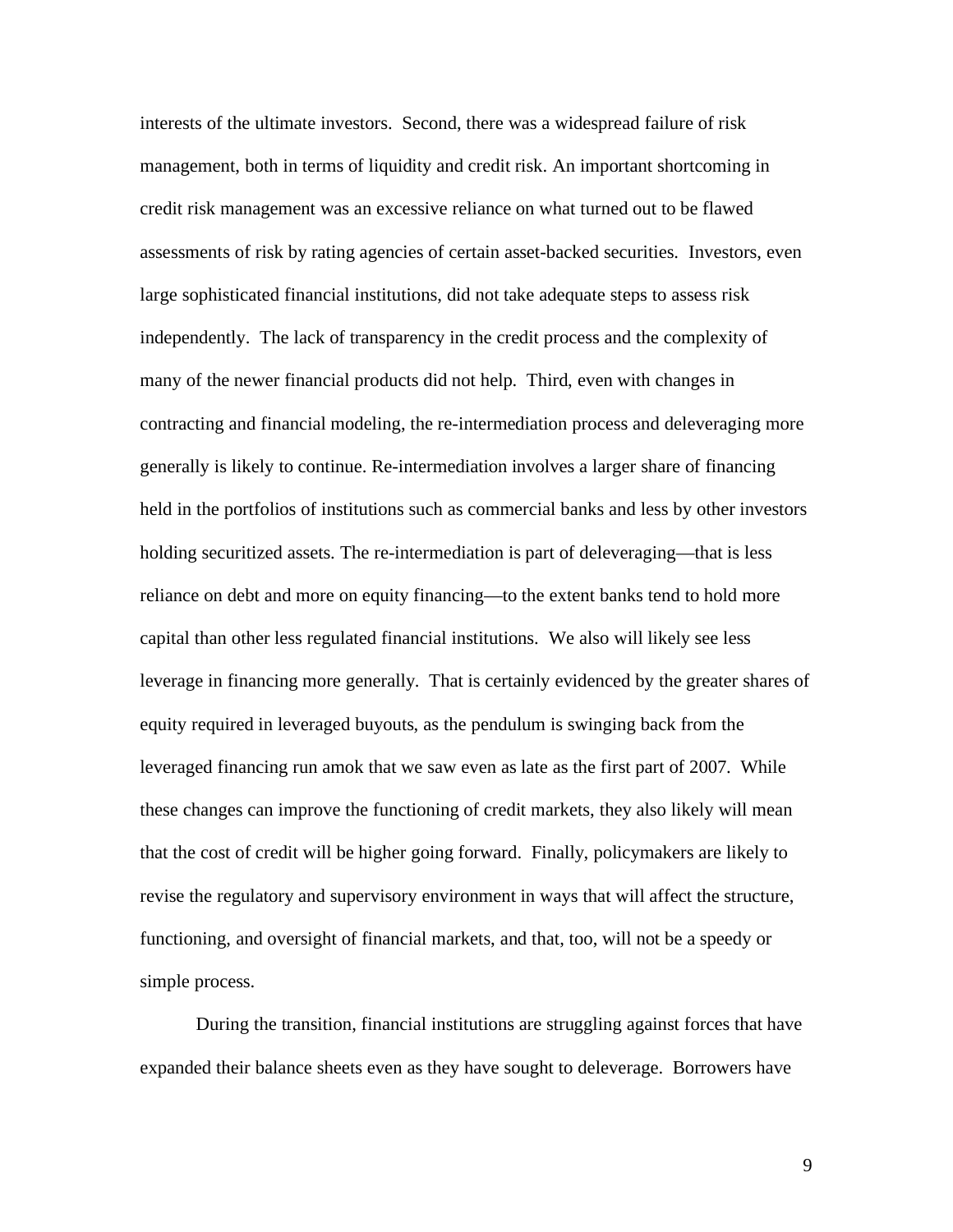interests of the ultimate investors. Second, there was a widespread failure of risk management, both in terms of liquidity and credit risk. An important shortcoming in credit risk management was an excessive reliance on what turned out to be flawed assessments of risk by rating agencies of certain asset-backed securities. Investors, even large sophisticated financial institutions, did not take adequate steps to assess risk independently. The lack of transparency in the credit process and the complexity of many of the newer financial products did not help. Third, even with changes in contracting and financial modeling, the re-intermediation process and deleveraging more generally is likely to continue. Re-intermediation involves a larger share of financing held in the portfolios of institutions such as commercial banks and less by other investors holding securitized assets. The re-intermediation is part of deleveraging—that is less reliance on debt and more on equity financing—to the extent banks tend to hold more capital than other less regulated financial institutions. We also will likely see less leverage in financing more generally. That is certainly evidenced by the greater shares of equity required in leveraged buyouts, as the pendulum is swinging back from the leveraged financing run amok that we saw even as late as the first part of 2007. While these changes can improve the functioning of credit markets, they also likely will mean that the cost of credit will be higher going forward. Finally, policymakers are likely to revise the regulatory and supervisory environment in ways that will affect the structure, functioning, and oversight of financial markets, and that, too, will not be a speedy or simple process.

During the transition, financial institutions are struggling against forces that have expanded their balance sheets even as they have sought to deleverage. Borrowers have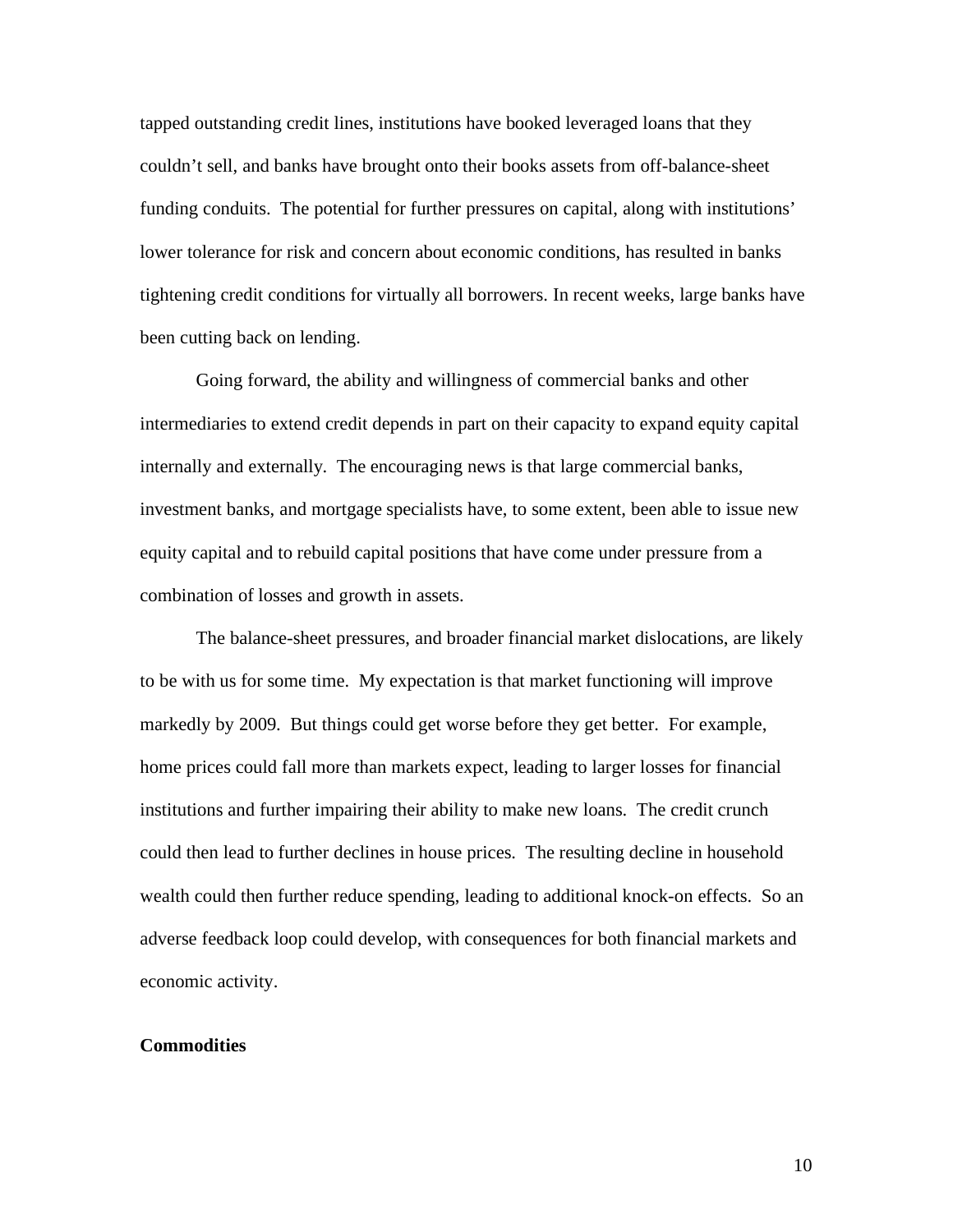tapped outstanding credit lines, institutions have booked leveraged loans that they couldn't sell, and banks have brought onto their books assets from off-balance-sheet funding conduits. The potential for further pressures on capital, along with institutions' lower tolerance for risk and concern about economic conditions, has resulted in banks tightening credit conditions for virtually all borrowers. In recent weeks, large banks have been cutting back on lending.

Going forward, the ability and willingness of commercial banks and other intermediaries to extend credit depends in part on their capacity to expand equity capital internally and externally. The encouraging news is that large commercial banks, investment banks, and mortgage specialists have, to some extent, been able to issue new equity capital and to rebuild capital positions that have come under pressure from a combination of losses and growth in assets.

The balance-sheet pressures, and broader financial market dislocations, are likely to be with us for some time. My expectation is that market functioning will improve markedly by 2009. But things could get worse before they get better. For example, home prices could fall more than markets expect, leading to larger losses for financial institutions and further impairing their ability to make new loans. The credit crunch could then lead to further declines in house prices. The resulting decline in household wealth could then further reduce spending, leading to additional knock-on effects. So an adverse feedback loop could develop, with consequences for both financial markets and economic activity.

## **Commodities**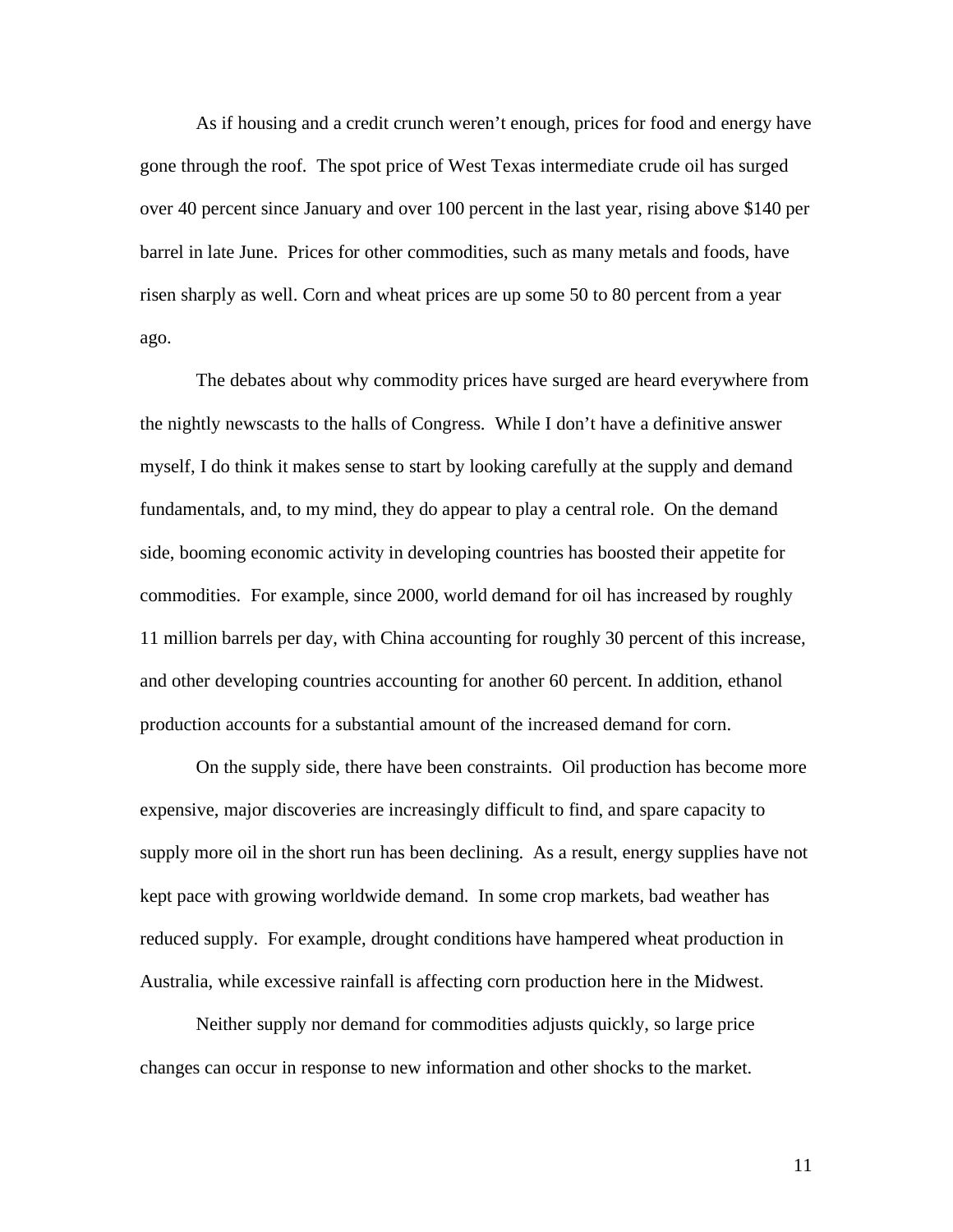As if housing and a credit crunch weren't enough, prices for food and energy have gone through the roof. The spot price of West Texas intermediate crude oil has surged over 40 percent since January and over 100 percent in the last year, rising above \$140 per barrel in late June. Prices for other commodities, such as many metals and foods, have risen sharply as well. Corn and wheat prices are up some 50 to 80 percent from a year ago.

The debates about why commodity prices have surged are heard everywhere from the nightly newscasts to the halls of Congress. While I don't have a definitive answer myself, I do think it makes sense to start by looking carefully at the supply and demand fundamentals, and, to my mind, they do appear to play a central role. On the demand side, booming economic activity in developing countries has boosted their appetite for commodities. For example, since 2000, world demand for oil has increased by roughly 11 million barrels per day, with China accounting for roughly 30 percent of this increase, and other developing countries accounting for another 60 percent. In addition, ethanol production accounts for a substantial amount of the increased demand for corn.

On the supply side, there have been constraints. Oil production has become more expensive, major discoveries are increasingly difficult to find, and spare capacity to supply more oil in the short run has been declining. As a result, energy supplies have not kept pace with growing worldwide demand. In some crop markets, bad weather has reduced supply. For example, drought conditions have hampered wheat production in Australia, while excessive rainfall is affecting corn production here in the Midwest.

Neither supply nor demand for commodities adjusts quickly, so large price changes can occur in response to new information and other shocks to the market.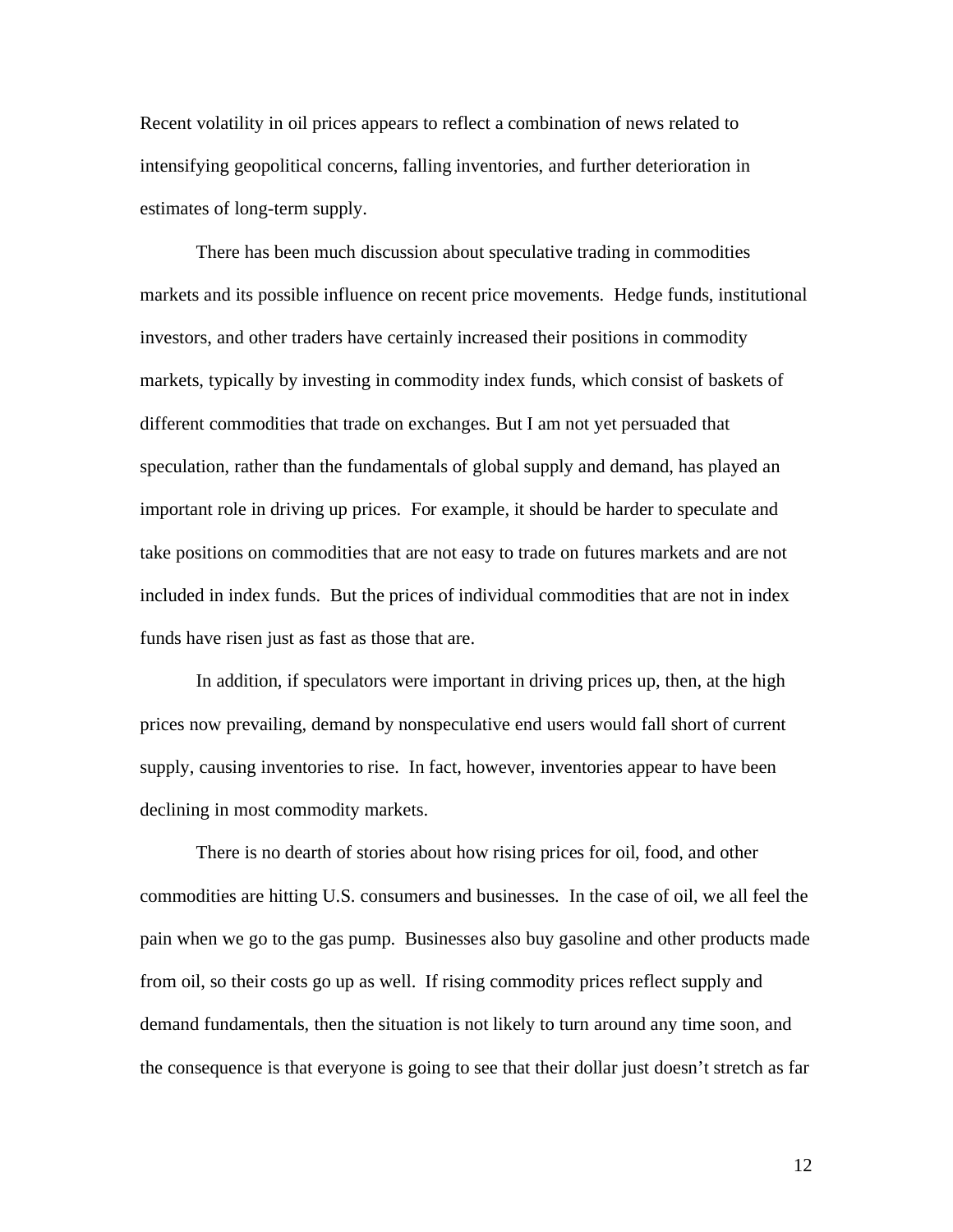Recent volatility in oil prices appears to reflect a combination of news related to intensifying geopolitical concerns, falling inventories, and further deterioration in estimates of long-term supply.

There has been much discussion about speculative trading in commodities markets and its possible influence on recent price movements. Hedge funds, institutional investors, and other traders have certainly increased their positions in commodity markets, typically by investing in commodity index funds, which consist of baskets of different commodities that trade on exchanges. But I am not yet persuaded that speculation, rather than the fundamentals of global supply and demand, has played an important role in driving up prices. For example, it should be harder to speculate and take positions on commodities that are not easy to trade on futures markets and are not included in index funds. But the prices of individual commodities that are not in index funds have risen just as fast as those that are.

In addition, if speculators were important in driving prices up, then, at the high prices now prevailing, demand by nonspeculative end users would fall short of current supply, causing inventories to rise. In fact, however, inventories appear to have been declining in most commodity markets.

There is no dearth of stories about how rising prices for oil, food, and other commodities are hitting U.S. consumers and businesses. In the case of oil, we all feel the pain when we go to the gas pump. Businesses also buy gasoline and other products made from oil, so their costs go up as well. If rising commodity prices reflect supply and demand fundamentals, then the situation is not likely to turn around any time soon, and the consequence is that everyone is going to see that their dollar just doesn't stretch as far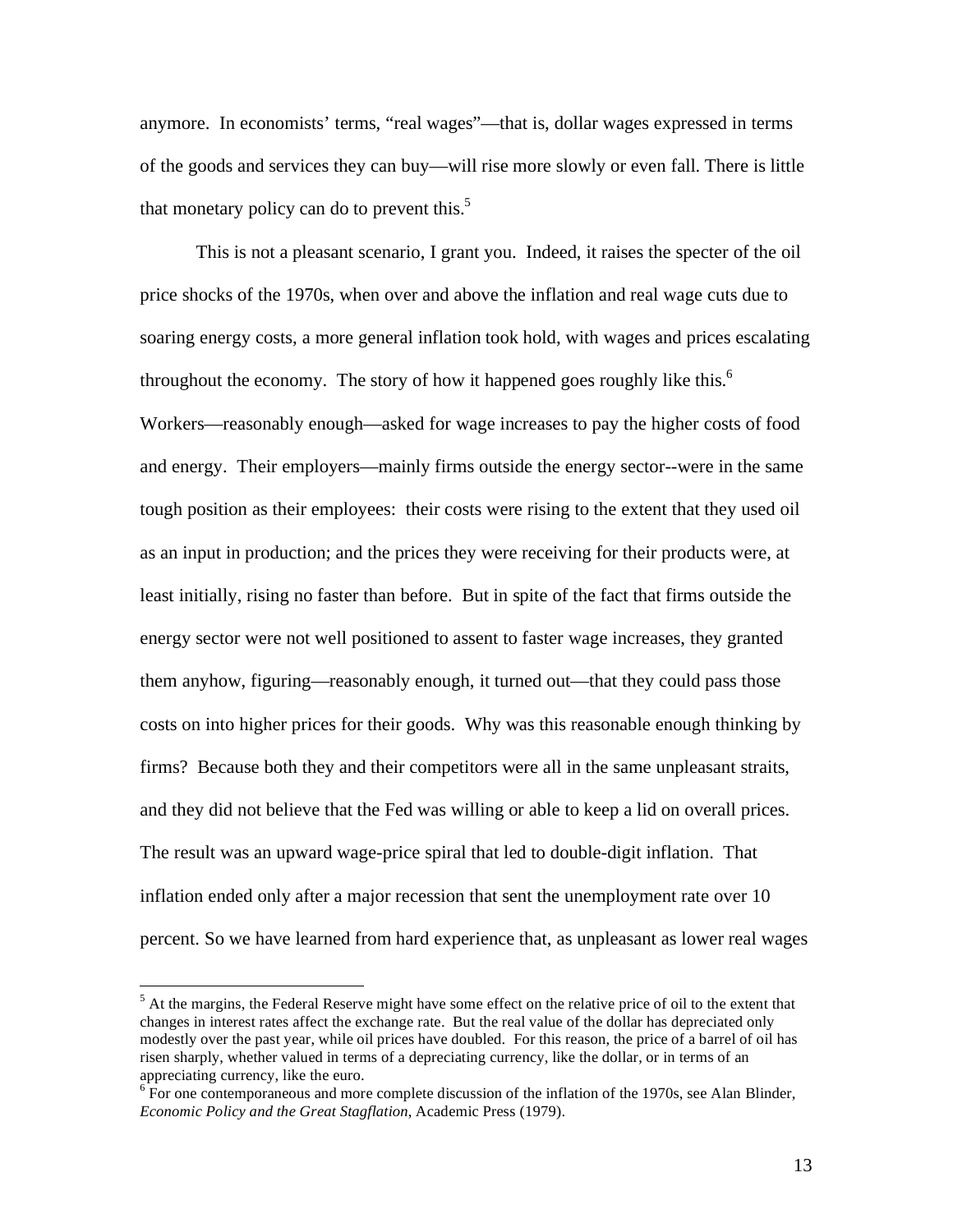anymore. In economists' terms, "real wages"—that is, dollar wages expressed in terms of the goods and services they can buy—will rise more slowly or even fall. There is little that monetary policy can do to prevent this.<sup>5</sup>

This is not a pleasant scenario, I grant you. Indeed, it raises the specter of the oil price shocks of the 1970s, when over and above the inflation and real wage cuts due to soaring energy costs, a more general inflation took hold, with wages and prices escalating throughout the economy. The story of how it happened goes roughly like this.<sup>6</sup> Workers—reasonably enough—asked for wage increases to pay the higher costs of food and energy. Their employers—mainly firms outside the energy sector--were in the same tough position as their employees: their costs were rising to the extent that they used oil as an input in production; and the prices they were receiving for their products were, at least initially, rising no faster than before. But in spite of the fact that firms outside the energy sector were not well positioned to assent to faster wage increases, they granted them anyhow, figuring—reasonably enough, it turned out—that they could pass those costs on into higher prices for their goods. Why was this reasonable enough thinking by firms? Because both they and their competitors were all in the same unpleasant straits, and they did not believe that the Fed was willing or able to keep a lid on overall prices. The result was an upward wage-price spiral that led to double-digit inflation. That inflation ended only after a major recession that sent the unemployment rate over 10 percent. So we have learned from hard experience that, as unpleasant as lower real wages

<u>.</u>

<sup>&</sup>lt;sup>5</sup> At the margins, the Federal Reserve might have some effect on the relative price of oil to the extent that changes in interest rates affect the exchange rate. But the real value of the dollar has depreciated only modestly over the past year, while oil prices have doubled. For this reason, the price of a barrel of oil has risen sharply, whether valued in terms of a depreciating currency, like the dollar, or in terms of an appreciating currency, like the euro.

 $6F$  For one contemporaneous and more complete discussion of the inflation of the 1970s, see Alan Blinder, *Economic Policy and the Great Stagflation*, Academic Press (1979).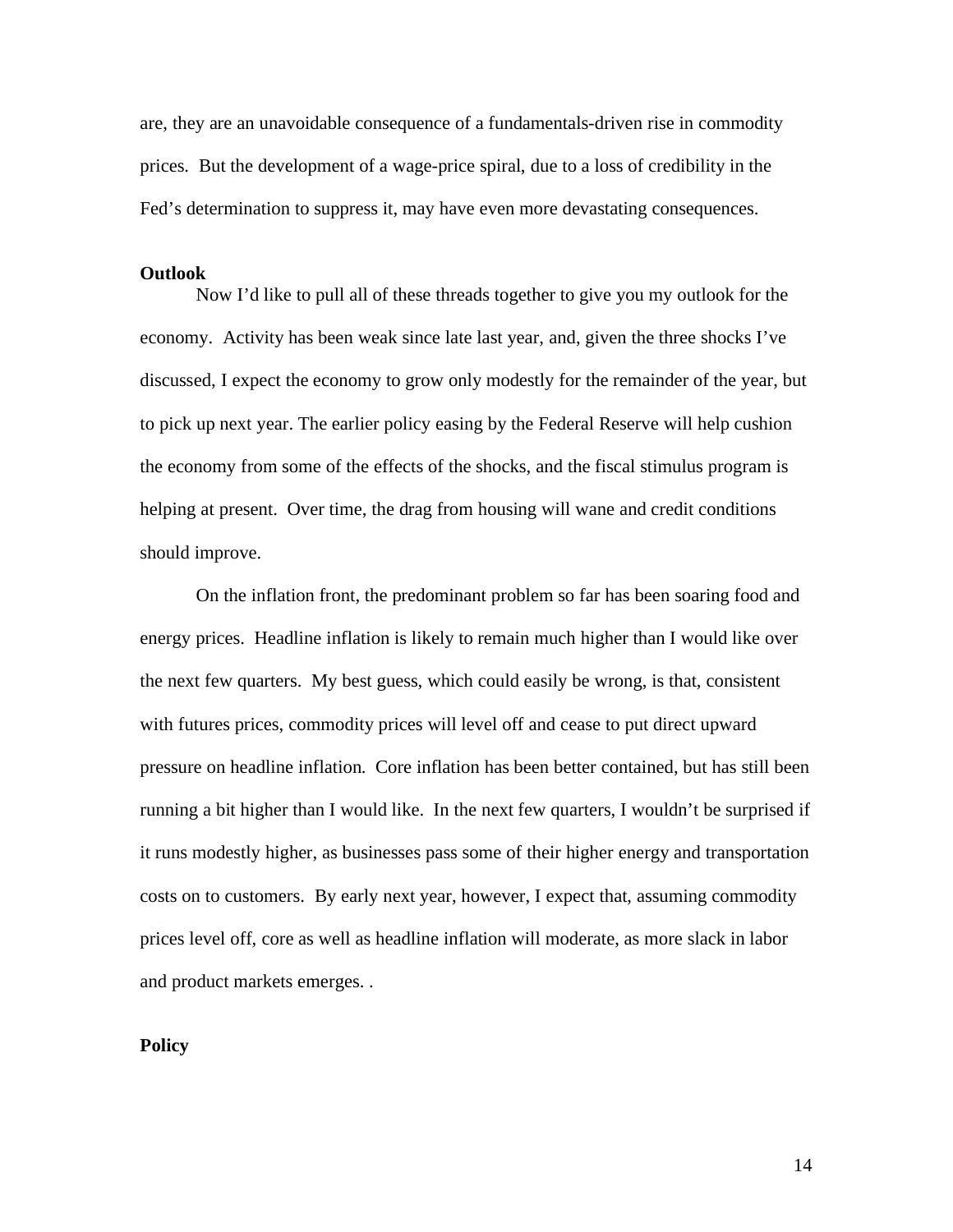are, they are an unavoidable consequence of a fundamentals-driven rise in commodity prices. But the development of a wage-price spiral, due to a loss of credibility in the Fed's determination to suppress it, may have even more devastating consequences.

#### **Outlook**

Now I'd like to pull all of these threads together to give you my outlook for the economy. Activity has been weak since late last year, and, given the three shocks I've discussed, I expect the economy to grow only modestly for the remainder of the year, but to pick up next year. The earlier policy easing by the Federal Reserve will help cushion the economy from some of the effects of the shocks, and the fiscal stimulus program is helping at present. Over time, the drag from housing will wane and credit conditions should improve.

On the inflation front, the predominant problem so far has been soaring food and energy prices. Headline inflation is likely to remain much higher than I would like over the next few quarters. My best guess, which could easily be wrong, is that, consistent with futures prices, commodity prices will level off and cease to put direct upward pressure on headline inflation. Core inflation has been better contained, but has still been running a bit higher than I would like. In the next few quarters, I wouldn't be surprised if it runs modestly higher, as businesses pass some of their higher energy and transportation costs on to customers. By early next year, however, I expect that, assuming commodity prices level off, core as well as headline inflation will moderate, as more slack in labor and product markets emerges. .

## **Policy**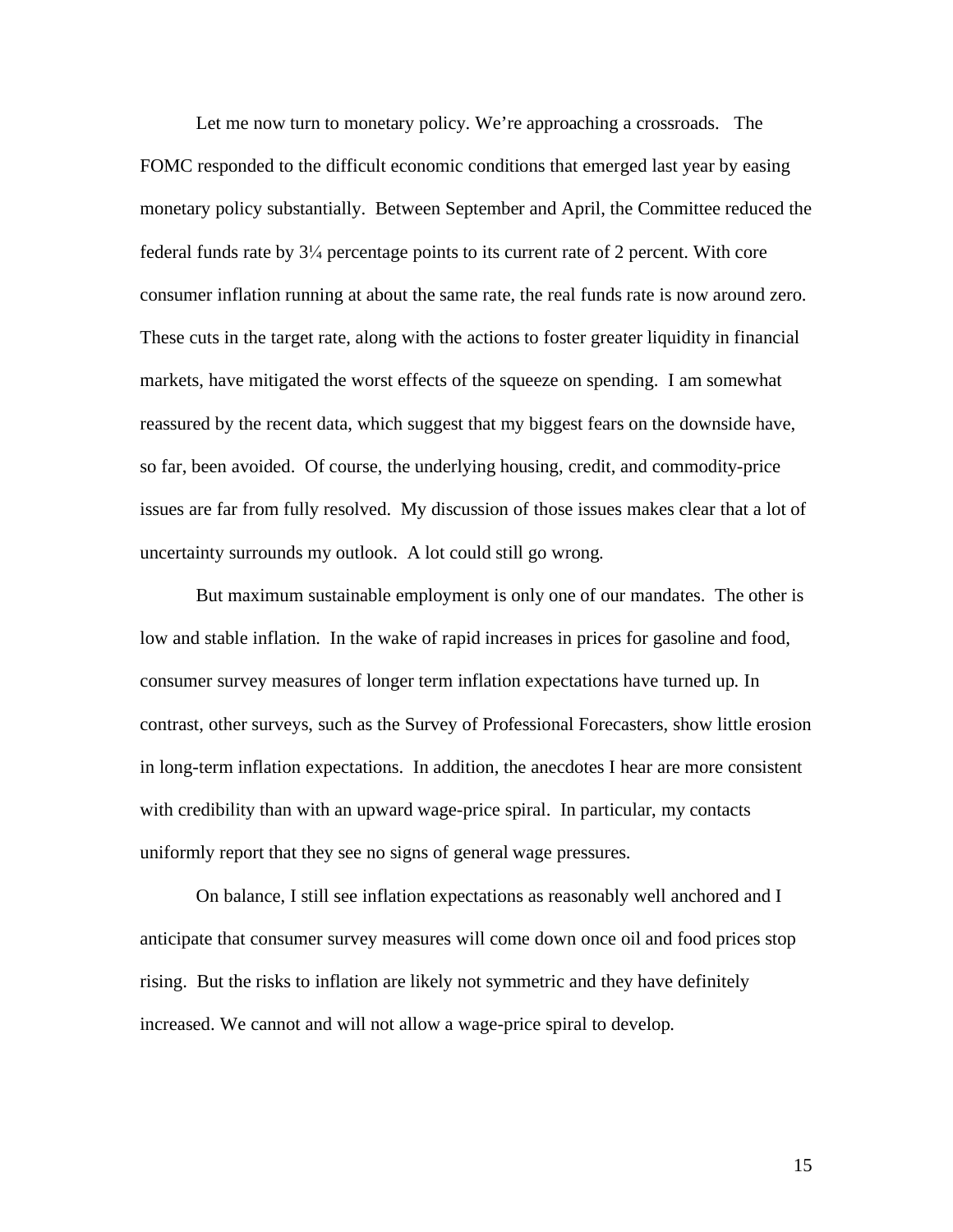Let me now turn to monetary policy. We're approaching a crossroads. The FOMC responded to the difficult economic conditions that emerged last year by easing monetary policy substantially. Between September and April, the Committee reduced the federal funds rate by  $3\frac{1}{4}$  percentage points to its current rate of 2 percent. With core consumer inflation running at about the same rate, the real funds rate is now around zero. These cuts in the target rate, along with the actions to foster greater liquidity in financial markets, have mitigated the worst effects of the squeeze on spending. I am somewhat reassured by the recent data, which suggest that my biggest fears on the downside have, so far, been avoided. Of course, the underlying housing, credit, and commodity-price issues are far from fully resolved. My discussion of those issues makes clear that a lot of uncertainty surrounds my outlook. A lot could still go wrong.

But maximum sustainable employment is only one of our mandates. The other is low and stable inflation. In the wake of rapid increases in prices for gasoline and food, consumer survey measures of longer term inflation expectations have turned up. In contrast, other surveys, such as the Survey of Professional Forecasters, show little erosion in long-term inflation expectations. In addition, the anecdotes I hear are more consistent with credibility than with an upward wage-price spiral. In particular, my contacts uniformly report that they see no signs of general wage pressures.

On balance, I still see inflation expectations as reasonably well anchored and I anticipate that consumer survey measures will come down once oil and food prices stop rising. But the risks to inflation are likely not symmetric and they have definitely increased. We cannot and will not allow a wage-price spiral to develop.